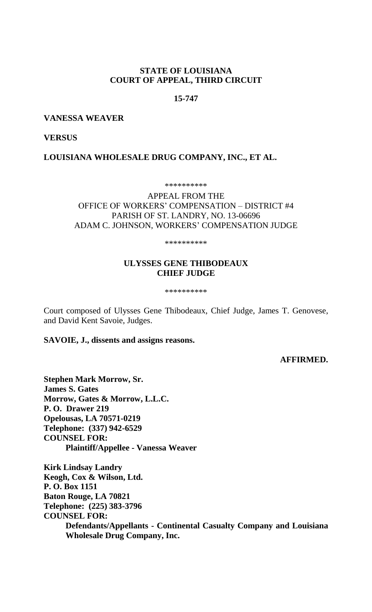# **STATE OF LOUISIANA COURT OF APPEAL, THIRD CIRCUIT**

## **15-747**

### **VANESSA WEAVER**

## **VERSUS**

# **LOUISIANA WHOLESALE DRUG COMPANY, INC., ET AL.**

\*\*\*\*\*\*\*\*\*\*

## APPEAL FROM THE OFFICE OF WORKERS' COMPENSATION – DISTRICT #4 PARISH OF ST. LANDRY, NO. 13-06696 ADAM C. JOHNSON, WORKERS' COMPENSATION JUDGE

\*\*\*\*\*\*\*\*\*\*

# **ULYSSES GENE THIBODEAUX CHIEF JUDGE**

\*\*\*\*\*\*\*\*\*\*

Court composed of Ulysses Gene Thibodeaux, Chief Judge, James T. Genovese, and David Kent Savoie, Judges.

## **SAVOIE, J., dissents and assigns reasons.**

## **AFFIRMED.**

**Stephen Mark Morrow, Sr. James S. Gates Morrow, Gates & Morrow, L.L.C. P. O. Drawer 219 Opelousas, LA 70571-0219 Telephone: (337) 942-6529 COUNSEL FOR: Plaintiff/Appellee - Vanessa Weaver**

**Kirk Lindsay Landry Keogh, Cox & Wilson, Ltd. P. O. Box 1151 Baton Rouge, LA 70821 Telephone: (225) 383-3796 COUNSEL FOR: Defendants/Appellants - Continental Casualty Company and Louisiana Wholesale Drug Company, Inc.**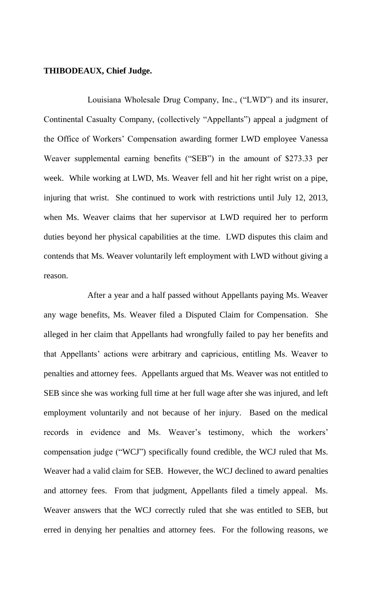## **THIBODEAUX, Chief Judge.**

Louisiana Wholesale Drug Company, Inc., ("LWD") and its insurer, Continental Casualty Company, (collectively "Appellants") appeal a judgment of the Office of Workers' Compensation awarding former LWD employee Vanessa Weaver supplemental earning benefits ("SEB") in the amount of \$273.33 per week. While working at LWD, Ms. Weaver fell and hit her right wrist on a pipe, injuring that wrist. She continued to work with restrictions until July 12, 2013, when Ms. Weaver claims that her supervisor at LWD required her to perform duties beyond her physical capabilities at the time. LWD disputes this claim and contends that Ms. Weaver voluntarily left employment with LWD without giving a reason.

After a year and a half passed without Appellants paying Ms. Weaver any wage benefits, Ms. Weaver filed a Disputed Claim for Compensation. She alleged in her claim that Appellants had wrongfully failed to pay her benefits and that Appellants' actions were arbitrary and capricious, entitling Ms. Weaver to penalties and attorney fees. Appellants argued that Ms. Weaver was not entitled to SEB since she was working full time at her full wage after she was injured, and left employment voluntarily and not because of her injury. Based on the medical records in evidence and Ms. Weaver's testimony, which the workers' compensation judge ("WCJ") specifically found credible, the WCJ ruled that Ms. Weaver had a valid claim for SEB. However, the WCJ declined to award penalties and attorney fees. From that judgment, Appellants filed a timely appeal. Ms. Weaver answers that the WCJ correctly ruled that she was entitled to SEB, but erred in denying her penalties and attorney fees. For the following reasons, we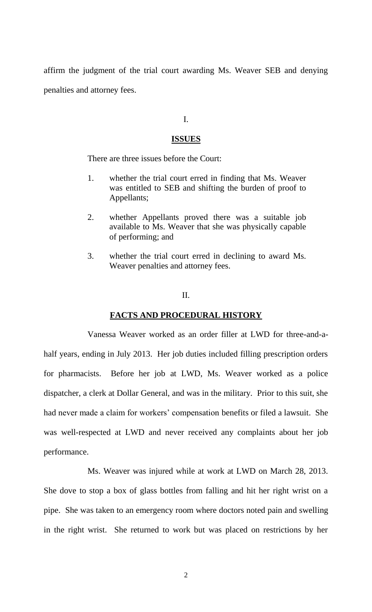affirm the judgment of the trial court awarding Ms. Weaver SEB and denying penalties and attorney fees.

## I.

### **ISSUES**

There are three issues before the Court:

- 1. whether the trial court erred in finding that Ms. Weaver was entitled to SEB and shifting the burden of proof to Appellants;
- 2. whether Appellants proved there was a suitable job available to Ms. Weaver that she was physically capable of performing; and
- 3. whether the trial court erred in declining to award Ms. Weaver penalties and attorney fees.

### II.

## **FACTS AND PROCEDURAL HISTORY**

Vanessa Weaver worked as an order filler at LWD for three-and-ahalf years, ending in July 2013. Her job duties included filling prescription orders for pharmacists. Before her job at LWD, Ms. Weaver worked as a police dispatcher, a clerk at Dollar General, and was in the military. Prior to this suit, she had never made a claim for workers' compensation benefits or filed a lawsuit. She was well-respected at LWD and never received any complaints about her job performance.

Ms. Weaver was injured while at work at LWD on March 28, 2013. She dove to stop a box of glass bottles from falling and hit her right wrist on a pipe. She was taken to an emergency room where doctors noted pain and swelling in the right wrist. She returned to work but was placed on restrictions by her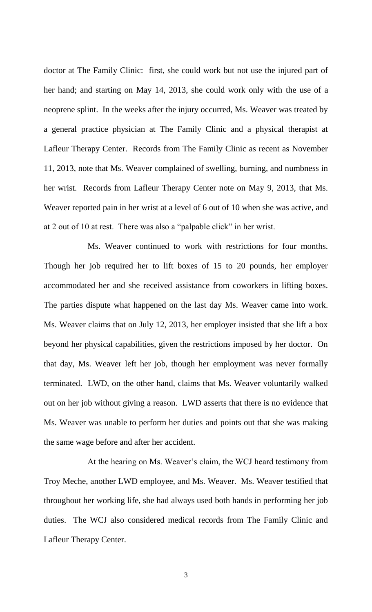doctor at The Family Clinic: first, she could work but not use the injured part of her hand; and starting on May 14, 2013, she could work only with the use of a neoprene splint. In the weeks after the injury occurred, Ms. Weaver was treated by a general practice physician at The Family Clinic and a physical therapist at Lafleur Therapy Center. Records from The Family Clinic as recent as November 11, 2013, note that Ms. Weaver complained of swelling, burning, and numbness in her wrist. Records from Lafleur Therapy Center note on May 9, 2013, that Ms. Weaver reported pain in her wrist at a level of 6 out of 10 when she was active, and at 2 out of 10 at rest. There was also a "palpable click" in her wrist.

Ms. Weaver continued to work with restrictions for four months. Though her job required her to lift boxes of 15 to 20 pounds, her employer accommodated her and she received assistance from coworkers in lifting boxes. The parties dispute what happened on the last day Ms. Weaver came into work. Ms. Weaver claims that on July 12, 2013, her employer insisted that she lift a box beyond her physical capabilities, given the restrictions imposed by her doctor. On that day, Ms. Weaver left her job, though her employment was never formally terminated. LWD, on the other hand, claims that Ms. Weaver voluntarily walked out on her job without giving a reason. LWD asserts that there is no evidence that Ms. Weaver was unable to perform her duties and points out that she was making the same wage before and after her accident.

At the hearing on Ms. Weaver's claim, the WCJ heard testimony from Troy Meche, another LWD employee, and Ms. Weaver. Ms. Weaver testified that throughout her working life, she had always used both hands in performing her job duties. The WCJ also considered medical records from The Family Clinic and Lafleur Therapy Center.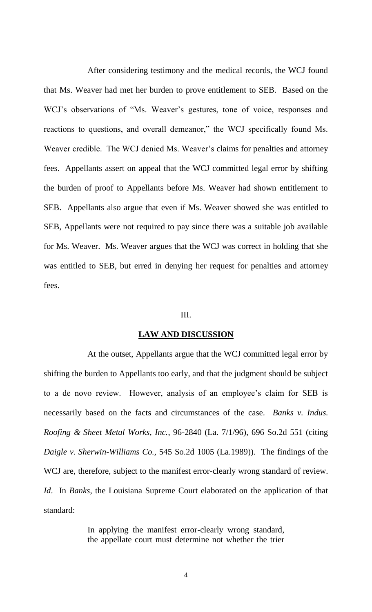After considering testimony and the medical records, the WCJ found that Ms. Weaver had met her burden to prove entitlement to SEB. Based on the WCJ's observations of "Ms. Weaver's gestures, tone of voice, responses and reactions to questions, and overall demeanor," the WCJ specifically found Ms. Weaver credible. The WCJ denied Ms. Weaver's claims for penalties and attorney fees. Appellants assert on appeal that the WCJ committed legal error by shifting the burden of proof to Appellants before Ms. Weaver had shown entitlement to SEB. Appellants also argue that even if Ms. Weaver showed she was entitled to SEB, Appellants were not required to pay since there was a suitable job available for Ms. Weaver. Ms. Weaver argues that the WCJ was correct in holding that she was entitled to SEB, but erred in denying her request for penalties and attorney fees.

### III.

#### **LAW AND DISCUSSION**

At the outset, Appellants argue that the WCJ committed legal error by shifting the burden to Appellants too early, and that the judgment should be subject to a de novo review. However, analysis of an employee's claim for SEB is necessarily based on the facts and circumstances of the case. *Banks v. Indus. Roofing & Sheet Metal Works, Inc.*, 96-2840 (La. 7/1/96), 696 So.2d 551 (citing *Daigle v. Sherwin-Williams Co.*, 545 So.2d 1005 (La.1989)). The findings of the WCJ are, therefore, subject to the manifest error-clearly wrong standard of review. *Id*. In *Banks*, the Louisiana Supreme Court elaborated on the application of that standard:

> In applying the manifest error-clearly wrong standard, the appellate court must determine not whether the trier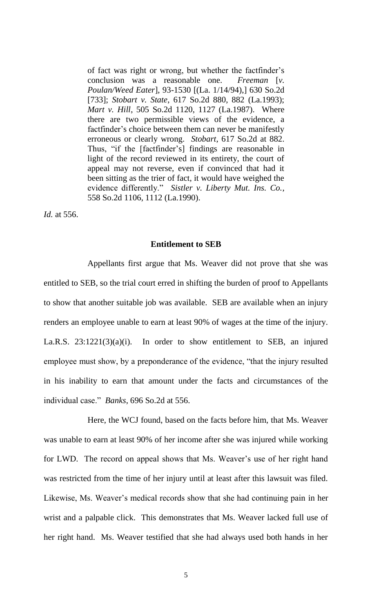of fact was right or wrong, but whether the factfinder's conclusion was a reasonable one. *Freeman* [*v. Poulan/Weed Eater*], 93-1530 [(La. 1/14/94),] 630 So.2d [733]; *Stobart v. State*, 617 So.2d 880, 882 (La.1993); *Mart v. Hill*, 505 So.2d 1120, 1127 (La.1987). Where there are two permissible views of the evidence, a factfinder's choice between them can never be manifestly erroneous or clearly wrong. *Stobart*, 617 So.2d at 882. Thus, "if the [factfinder's] findings are reasonable in light of the record reviewed in its entirety, the court of appeal may not reverse, even if convinced that had it been sitting as the trier of fact, it would have weighed the evidence differently." *Sistler v. Liberty Mut. Ins. Co.*, 558 So.2d 1106, 1112 (La.1990).

*Id.* at 556.

### **Entitlement to SEB**

Appellants first argue that Ms. Weaver did not prove that she was entitled to SEB, so the trial court erred in shifting the burden of proof to Appellants to show that another suitable job was available. SEB are available when an injury renders an employee unable to earn at least 90% of wages at the time of the injury. La.R.S. 23:1221(3)(a)(i). In order to show entitlement to SEB, an injured employee must show, by a preponderance of the evidence, "that the injury resulted in his inability to earn that amount under the facts and circumstances of the individual case." *Banks*, 696 So.2d at 556.

Here, the WCJ found, based on the facts before him, that Ms. Weaver was unable to earn at least 90% of her income after she was injured while working for LWD. The record on appeal shows that Ms. Weaver's use of her right hand was restricted from the time of her injury until at least after this lawsuit was filed. Likewise, Ms. Weaver's medical records show that she had continuing pain in her wrist and a palpable click. This demonstrates that Ms. Weaver lacked full use of her right hand. Ms. Weaver testified that she had always used both hands in her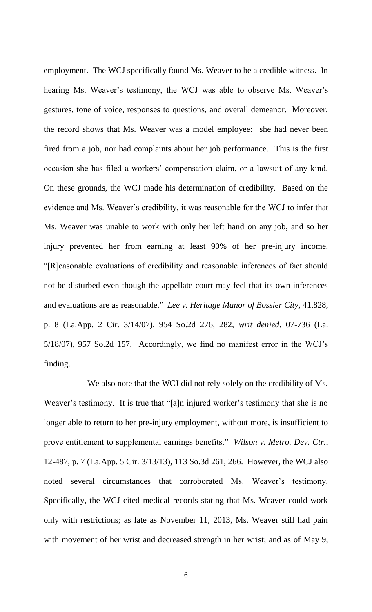employment. The WCJ specifically found Ms. Weaver to be a credible witness. In hearing Ms. Weaver's testimony, the WCJ was able to observe Ms. Weaver's gestures, tone of voice, responses to questions, and overall demeanor. Moreover, the record shows that Ms. Weaver was a model employee: she had never been fired from a job, nor had complaints about her job performance. This is the first occasion she has filed a workers' compensation claim, or a lawsuit of any kind. On these grounds, the WCJ made his determination of credibility. Based on the evidence and Ms. Weaver's credibility, it was reasonable for the WCJ to infer that Ms. Weaver was unable to work with only her left hand on any job, and so her injury prevented her from earning at least 90% of her pre-injury income. "[R]easonable evaluations of credibility and reasonable inferences of fact should not be disturbed even though the appellate court may feel that its own inferences and evaluations are as reasonable." *Lee v. Heritage Manor of Bossier City*, 41,828, p. 8 (La.App. 2 Cir. 3/14/07), 954 So.2d 276, 282, *writ denied*, 07-736 (La. 5/18/07), 957 So.2d 157. Accordingly, we find no manifest error in the WCJ's finding.

We also note that the WCJ did not rely solely on the credibility of Ms. Weaver's testimony. It is true that "[a]n injured worker's testimony that she is no longer able to return to her pre-injury employment, without more, is insufficient to prove entitlement to supplemental earnings benefits." *Wilson v. Metro. Dev. Ctr.*, 12-487, p. 7 (La.App. 5 Cir. 3/13/13), 113 So.3d 261, 266. However, the WCJ also noted several circumstances that corroborated Ms. Weaver's testimony. Specifically, the WCJ cited medical records stating that Ms. Weaver could work only with restrictions; as late as November 11, 2013, Ms. Weaver still had pain with movement of her wrist and decreased strength in her wrist; and as of May 9,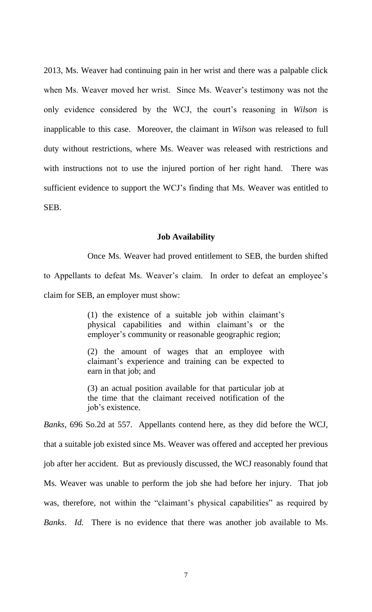2013, Ms. Weaver had continuing pain in her wrist and there was a palpable click when Ms. Weaver moved her wrist. Since Ms. Weaver's testimony was not the only evidence considered by the WCJ, the court's reasoning in *Wilson* is inapplicable to this case. Moreover, the claimant in *Wilson* was released to full duty without restrictions, where Ms. Weaver was released with restrictions and with instructions not to use the injured portion of her right hand. There was sufficient evidence to support the WCJ's finding that Ms. Weaver was entitled to SEB.

#### **Job Availability**

Once Ms. Weaver had proved entitlement to SEB, the burden shifted to Appellants to defeat Ms. Weaver's claim. In order to defeat an employee's claim for SEB, an employer must show:

> (1) the existence of a suitable job within claimant's physical capabilities and within claimant's or the employer's community or reasonable geographic region;

> (2) the amount of wages that an employee with claimant's experience and training can be expected to earn in that job; and

> (3) an actual position available for that particular job at the time that the claimant received notification of the job's existence.

*Banks*, 696 So.2d at 557. Appellants contend here, as they did before the WCJ, that a suitable job existed since Ms. Weaver was offered and accepted her previous job after her accident. But as previously discussed, the WCJ reasonably found that Ms. Weaver was unable to perform the job she had before her injury. That job was, therefore, not within the "claimant's physical capabilities" as required by *Banks*. *Id.* There is no evidence that there was another job available to Ms.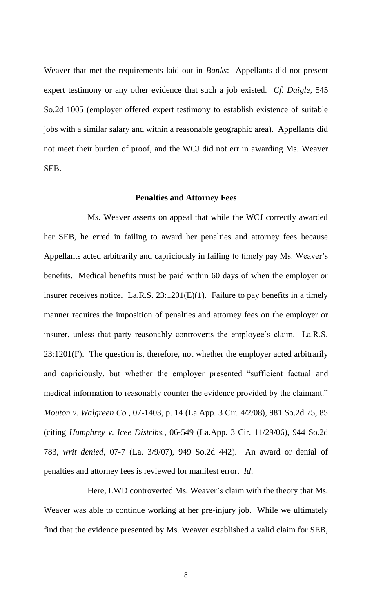Weaver that met the requirements laid out in *Banks*: Appellants did not present expert testimony or any other evidence that such a job existed. *Cf*. *Daigle*, 545 So.2d 1005 (employer offered expert testimony to establish existence of suitable jobs with a similar salary and within a reasonable geographic area). Appellants did not meet their burden of proof, and the WCJ did not err in awarding Ms. Weaver SEB.

#### **Penalties and Attorney Fees**

Ms. Weaver asserts on appeal that while the WCJ correctly awarded her SEB, he erred in failing to award her penalties and attorney fees because Appellants acted arbitrarily and capriciously in failing to timely pay Ms. Weaver's benefits. Medical benefits must be paid within 60 days of when the employer or insurer receives notice. La.R.S. 23:1201(E)(1). Failure to pay benefits in a timely manner requires the imposition of penalties and attorney fees on the employer or insurer, unless that party reasonably controverts the employee's claim. La.R.S. 23:1201(F). The question is, therefore, not whether the employer acted arbitrarily and capriciously, but whether the employer presented "sufficient factual and medical information to reasonably counter the evidence provided by the claimant." *Mouton v. Walgreen Co.*, 07-1403, p. 14 (La.App. 3 Cir. 4/2/08), 981 So.2d 75, 85 (citing *Humphrey v. Icee Distribs.*, 06-549 (La.App. 3 Cir. 11/29/06), 944 So.2d 783, *writ denied*, 07-7 (La. 3/9/07), 949 So.2d 442). An award or denial of penalties and attorney fees is reviewed for manifest error. *Id*.

Here, LWD controverted Ms. Weaver's claim with the theory that Ms. Weaver was able to continue working at her pre-injury job. While we ultimately find that the evidence presented by Ms. Weaver established a valid claim for SEB,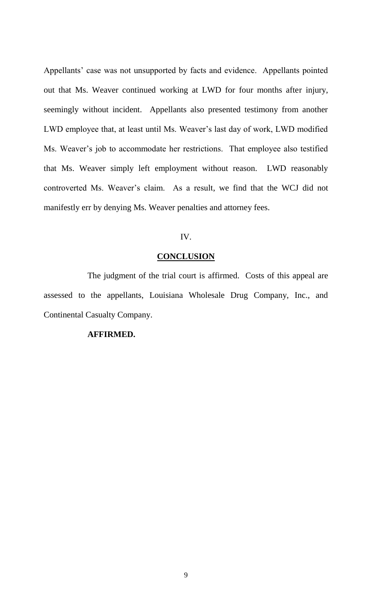Appellants' case was not unsupported by facts and evidence. Appellants pointed out that Ms. Weaver continued working at LWD for four months after injury, seemingly without incident. Appellants also presented testimony from another LWD employee that, at least until Ms. Weaver's last day of work, LWD modified Ms. Weaver's job to accommodate her restrictions. That employee also testified that Ms. Weaver simply left employment without reason. LWD reasonably controverted Ms. Weaver's claim. As a result, we find that the WCJ did not manifestly err by denying Ms. Weaver penalties and attorney fees.

# IV.

#### **CONCLUSION**

The judgment of the trial court is affirmed. Costs of this appeal are assessed to the appellants, Louisiana Wholesale Drug Company, Inc., and Continental Casualty Company.

## **AFFIRMED.**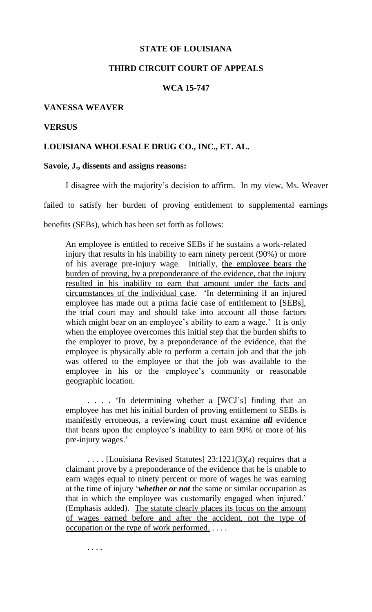## **STATE OF LOUISIANA**

### **THIRD CIRCUIT COURT OF APPEALS**

# **WCA 15-747**

### **VANESSA WEAVER**

#### **VERSUS**

## **LOUISIANA WHOLESALE DRUG CO., INC., ET. AL.**

### **Savoie, J., dissents and assigns reasons:**

I disagree with the majority's decision to affirm. In my view, Ms. Weaver failed to satisfy her burden of proving entitlement to supplemental earnings benefits (SEBs), which has been set forth as follows:

An employee is entitled to receive SEBs if he sustains a work-related injury that results in his inability to earn ninety percent (90%) or more of his average pre-injury wage. Initially, the employee bears the burden of proving, by a preponderance of the evidence, that the injury resulted in his inability to earn that amount under the facts and circumstances of the individual case. 'In determining if an injured employee has made out a prima facie case of entitlement to [SEBs], the trial court may and should take into account all those factors which might bear on an employee's ability to earn a wage.' It is only when the employee overcomes this initial step that the burden shifts to the employer to prove, by a preponderance of the evidence, that the employee is physically able to perform a certain job and that the job was offered to the employee or that the job was available to the employee in his or the employee's community or reasonable geographic location.

. . . . 'In determining whether a [WCJ's] finding that an employee has met his initial burden of proving entitlement to SEBs is manifestly erroneous, a reviewing court must examine *all* evidence that bears upon the employee's inability to earn 90% or more of his pre-injury wages.'

. . . . [Louisiana Revised Statutes] 23:1221(3)(a) requires that a claimant prove by a preponderance of the evidence that he is unable to earn wages equal to ninety percent or more of wages he was earning at the time of injury '*whether or not* the same or similar occupation as that in which the employee was customarily engaged when injured.' (Emphasis added). The statute clearly places its focus on the amount of wages earned before and after the accident, not the type of occupation or the type of work performed. . . . .

. . . .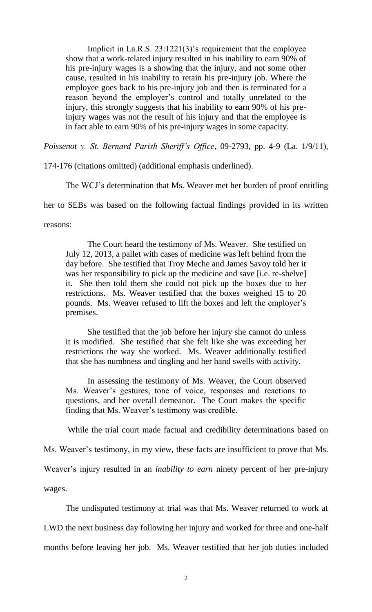Implicit in La.R.S. 23:1221(3)'s requirement that the employee show that a work-related injury resulted in his inability to earn 90% of his pre-injury wages is a showing that the injury, and not some other cause, resulted in his inability to retain his pre-injury job. Where the employee goes back to his pre-injury job and then is terminated for a reason beyond the employer's control and totally unrelated to the injury, this strongly suggests that his inability to earn 90% of his preinjury wages was not the result of his injury and that the employee is in fact able to earn 90% of his pre-injury wages in some capacity.

*Poissenot v. St. Bernard Parish Sheriff's Office*, 09-2793, pp. 4-9 (La. 1/9/11),

174-176 (citations omitted) (additional emphasis underlined).

The WCJ's determination that Ms. Weaver met her burden of proof entitling

her to SEBs was based on the following factual findings provided in its written

reasons:

The Court heard the testimony of Ms. Weaver. She testified on July 12, 2013, a pallet with cases of medicine was left behind from the day before. She testified that Troy Meche and James Savoy told her it was her responsibility to pick up the medicine and save [i.e. re-shelve] it. She then told them she could not pick up the boxes due to her restrictions. Ms. Weaver testified that the boxes weighed 15 to 20 pounds. Ms. Weaver refused to lift the boxes and left the employer's premises.

She testified that the job before her injury she cannot do unless it is modified. She testified that she felt like she was exceeding her restrictions the way she worked. Ms. Weaver additionally testified that she has numbness and tingling and her hand swells with activity.

In assessing the testimony of Ms. Weaver, the Court observed Ms. Weaver's gestures, tone of voice, responses and reactions to questions, and her overall demeanor. The Court makes the specific finding that Ms. Weaver's testimony was credible.

While the trial court made factual and credibility determinations based on

Ms. Weaver's testimony, in my view, these facts are insufficient to prove that Ms.

Weaver's injury resulted in an *inability to earn* ninety percent of her pre-injury

wages.

The undisputed testimony at trial was that Ms. Weaver returned to work at LWD the next business day following her injury and worked for three and one-half months before leaving her job. Ms. Weaver testified that her job duties included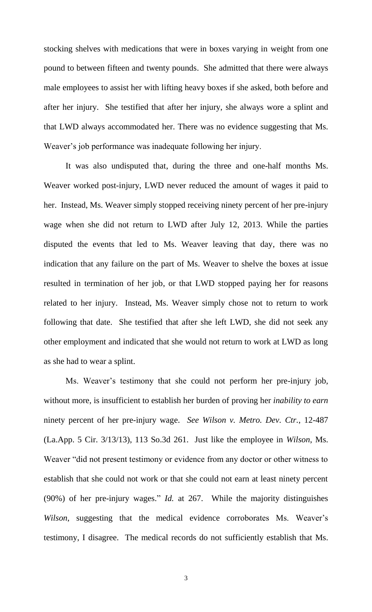stocking shelves with medications that were in boxes varying in weight from one pound to between fifteen and twenty pounds. She admitted that there were always male employees to assist her with lifting heavy boxes if she asked, both before and after her injury. She testified that after her injury, she always wore a splint and that LWD always accommodated her. There was no evidence suggesting that Ms. Weaver's job performance was inadequate following her injury.

It was also undisputed that, during the three and one-half months Ms. Weaver worked post-injury, LWD never reduced the amount of wages it paid to her. Instead, Ms. Weaver simply stopped receiving ninety percent of her pre-injury wage when she did not return to LWD after July 12, 2013. While the parties disputed the events that led to Ms. Weaver leaving that day, there was no indication that any failure on the part of Ms. Weaver to shelve the boxes at issue resulted in termination of her job, or that LWD stopped paying her for reasons related to her injury. Instead, Ms. Weaver simply chose not to return to work following that date. She testified that after she left LWD, she did not seek any other employment and indicated that she would not return to work at LWD as long as she had to wear a splint.

Ms. Weaver's testimony that she could not perform her pre-injury job, without more, is insufficient to establish her burden of proving her *inability to earn* ninety percent of her pre-injury wage. *See Wilson v. Metro. Dev. Ctr.*, 12-487 (La.App. 5 Cir. 3/13/13), 113 So.3d 261. Just like the employee in *Wilson*, Ms. Weaver "did not present testimony or evidence from any doctor or other witness to establish that she could not work or that she could not earn at least ninety percent (90%) of her pre-injury wages." *Id.* at 267. While the majority distinguishes *Wilson*, suggesting that the medical evidence corroborates Ms. Weaver's testimony, I disagree. The medical records do not sufficiently establish that Ms.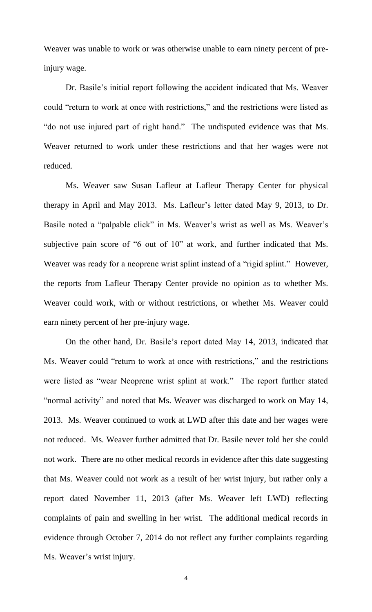Weaver was unable to work or was otherwise unable to earn ninety percent of preinjury wage.

Dr. Basile's initial report following the accident indicated that Ms. Weaver could "return to work at once with restrictions," and the restrictions were listed as "do not use injured part of right hand." The undisputed evidence was that Ms. Weaver returned to work under these restrictions and that her wages were not reduced.

Ms. Weaver saw Susan Lafleur at Lafleur Therapy Center for physical therapy in April and May 2013. Ms. Lafleur's letter dated May 9, 2013, to Dr. Basile noted a "palpable click" in Ms. Weaver's wrist as well as Ms. Weaver's subjective pain score of "6 out of 10" at work, and further indicated that Ms. Weaver was ready for a neoprene wrist splint instead of a "rigid splint." However, the reports from Lafleur Therapy Center provide no opinion as to whether Ms. Weaver could work, with or without restrictions, or whether Ms. Weaver could earn ninety percent of her pre-injury wage.

On the other hand, Dr. Basile's report dated May 14, 2013, indicated that Ms. Weaver could "return to work at once with restrictions," and the restrictions were listed as "wear Neoprene wrist splint at work." The report further stated "normal activity" and noted that Ms. Weaver was discharged to work on May 14, 2013. Ms. Weaver continued to work at LWD after this date and her wages were not reduced. Ms. Weaver further admitted that Dr. Basile never told her she could not work. There are no other medical records in evidence after this date suggesting that Ms. Weaver could not work as a result of her wrist injury, but rather only a report dated November 11, 2013 (after Ms. Weaver left LWD) reflecting complaints of pain and swelling in her wrist. The additional medical records in evidence through October 7, 2014 do not reflect any further complaints regarding Ms. Weaver's wrist injury.

4